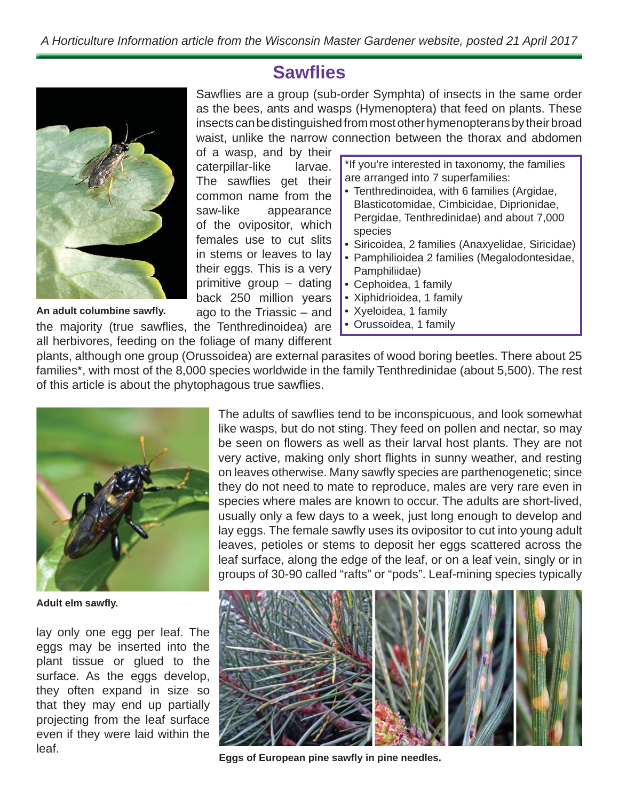## **Sawfl ies**

Sawflies are a group (sub-order Symphta) of insects in the same order as the bees, ants and wasps (Hymenoptera) that feed on plants. These insects can be distinguished from most other hymenopterans by their broad waist, unlike the narrow connection between the thorax and abdomen

of a wasp, and by their caterpillar-like larvae. The sawflies get their common name from the saw-like appearance of the ovipositor, which females use to cut slits in stems or leaves to lay their eggs. This is a very primitive group – dating back 250 million years ago to the Triassic – and

the majority (true sawflies, the Tenthredinoidea) are all herbivores, feeding on the foliage of many different **An adult columbine sawfl y.**

\*If you're interested in taxonomy, the families are arranged into 7 superfamilies:

- Tenthredinoidea, with 6 families (Argidae, Blasticotomidae, Cimbicidae, Diprionidae, Pergidae, Tenthredinidae) and about 7,000 species
- Siricoidea, 2 families (Anaxyelidae, Siricidae)
- Pamphilioidea 2 families (Megalodontesidae, Pamphiliidae)
- Cephoidea, 1 family
- Xiphidrioidea, 1 family
- Xyeloidea, 1 family
- Orussoidea, 1 family

plants, although one group (Orussoidea) are external parasites of wood boring beetles. There about 25 families\*, with most of the 8,000 species worldwide in the family Tenthredinidae (about 5,500). The rest of this article is about the phytophagous true sawflies.



**Adult elm sawfl y.**

lay only one egg per leaf. The eggs may be inserted into the plant tissue or glued to the surface. As the eggs develop, they often expand in size so that they may end up partially projecting from the leaf surface even if they were laid within the leaf.

The adults of sawflies tend to be inconspicuous, and look somewhat like wasps, but do not sting. They feed on pollen and nectar, so may be seen on flowers as well as their larval host plants. They are not very active, making only short flights in sunny weather, and resting on leaves otherwise. Many sawfly species are parthenogenetic; since they do not need to mate to reproduce, males are very rare even in species where males are known to occur. The adults are short-lived, usually only a few days to a week, just long enough to develop and lay eggs. The female sawfly uses its ovipositor to cut into young adult leaves, petioles or stems to deposit her eggs scattered across the leaf surface, along the edge of the leaf, or on a leaf vein, singly or in groups of 30-90 called "rafts" or "pods". Leaf-mining species typically



Eggs of European pine sawfly in pine needles.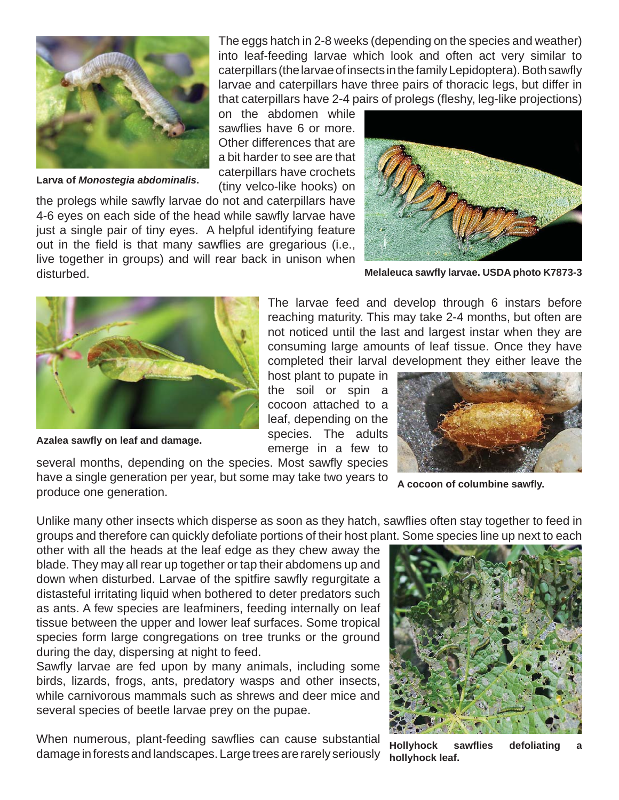

**Larva of** *Monostegia abdominalis***.**

The eggs hatch in 2-8 weeks (depending on the species and weather) into leaf-feeding larvae which look and often act very similar to caterpillars (the larvae of insects in the family Lepidoptera). Both sawfly larvae and caterpillars have three pairs of thoracic legs, but differ in that caterpillars have 2-4 pairs of prolegs (fleshy, leg-like proiections)

on the abdomen while sawflies have 6 or more. Other differences that are a bit harder to see are that caterpillars have crochets (tiny velco-like hooks) on

the prolegs while sawfly larvae do not and caterpillars have 4-6 eyes on each side of the head while sawfly larvae have just a single pair of tiny eyes. A helpful identifying feature out in the field is that many sawflies are gregarious (i.e., live together in groups) and will rear back in unison when disturbed.



**Melaleuca sawfl y larvae. USDA photo K7873-3**



**Azalea sawfl y on leaf and damage.**

The larvae feed and develop through 6 instars before reaching maturity. This may take 2-4 months, but often are not noticed until the last and largest instar when they are consuming large amounts of leaf tissue. Once they have completed their larval development they either leave the

host plant to pupate in the soil or spin a cocoon attached to a leaf, depending on the species. The adults emerge in a few to



**A cocoon of columbine sawfl y.**

several months, depending on the species. Most sawfly species have a single generation per year, but some may take two years to produce one generation.

Unlike many other insects which disperse as soon as they hatch, sawflies often stay together to feed in groups and therefore can quickly defoliate portions of their host plant. Some species line up next to each

other with all the heads at the leaf edge as they chew away the blade. They may all rear up together or tap their abdomens up and down when disturbed. Larvae of the spitfire sawfly regurgitate a distasteful irritating liquid when bothered to deter predators such as ants. A few species are leafminers, feeding internally on leaf tissue between the upper and lower leaf surfaces. Some tropical species form large congregations on tree trunks or the ground during the day, dispersing at night to feed.

Sawfly larvae are fed upon by many animals, including some birds, lizards, frogs, ants, predatory wasps and other insects, while carnivorous mammals such as shrews and deer mice and several species of beetle larvae prey on the pupae.

When numerous, plant-feeding sawflies can cause substantial damage in forests and landscapes. Large trees are rarely seriously



**Hollyhock sawfl ies defoliating a hollyhock leaf.**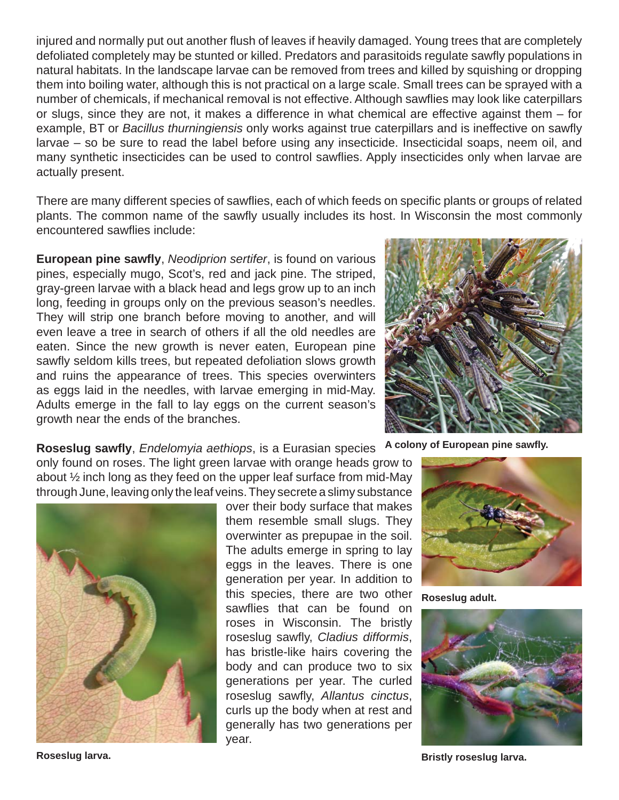injured and normally put out another flush of leaves if heavily damaged. Young trees that are completely defoliated completely may be stunted or killed. Predators and parasitoids regulate sawfly populations in natural habitats. In the landscape larvae can be removed from trees and killed by squishing or dropping them into boiling water, although this is not practical on a large scale. Small trees can be sprayed with a number of chemicals, if mechanical removal is not effective. Although sawflies may look like caterpillars or slugs, since they are not, it makes a difference in what chemical are effective against them – for example, BT or *Bacillus thurningiensis* only works against true caterpillars and is ineffective on sawfly larvae – so be sure to read the label before using any insecticide. Insecticidal soaps, neem oil, and many synthetic insecticides can be used to control sawflies. Apply insecticides only when larvae are actually present.

There are many different species of sawflies, each of which feeds on specific plants or groups of related plants. The common name of the sawfly usually includes its host. In Wisconsin the most commonly encountered sawflies include:

**European pine sawfl y**, *Neodiprion sertifer*, is found on various pines, especially mugo, Scot's, red and jack pine. The striped, gray-green larvae with a black head and legs grow up to an inch long, feeding in groups only on the previous season's needles. They will strip one branch before moving to another, and will even leave a tree in search of others if all the old needles are eaten. Since the new growth is never eaten, European pine sawfly seldom kills trees, but repeated defoliation slows growth and ruins the appearance of trees. This species overwinters as eggs laid in the needles, with larvae emerging in mid-May. Adults emerge in the fall to lay eggs on the current season's growth near the ends of the branches.



about ½ inch long as they feed on the upper leaf surface from mid-May through June, leaving only the leaf veins. They secrete a slimy substance



over their body surface that makes them resemble small slugs. They overwinter as prepupae in the soil. The adults emerge in spring to lay eggs in the leaves. There is one generation per year. In addition to this species, there are two other sawflies that can be found on roses in Wisconsin. The bristly roseslug sawfly, *Cladius difformis*, has bristle-like hairs covering the body and can produce two to six generations per year. The curled roseslug sawfly, *Allantus cinctus*, curls up the body when at rest and generally has two generations per year.





**Roseslug adult.**



**Roseslug larva. Bristly roseslug larva. Bristly roseslug larva. Bristly roseslug larva.**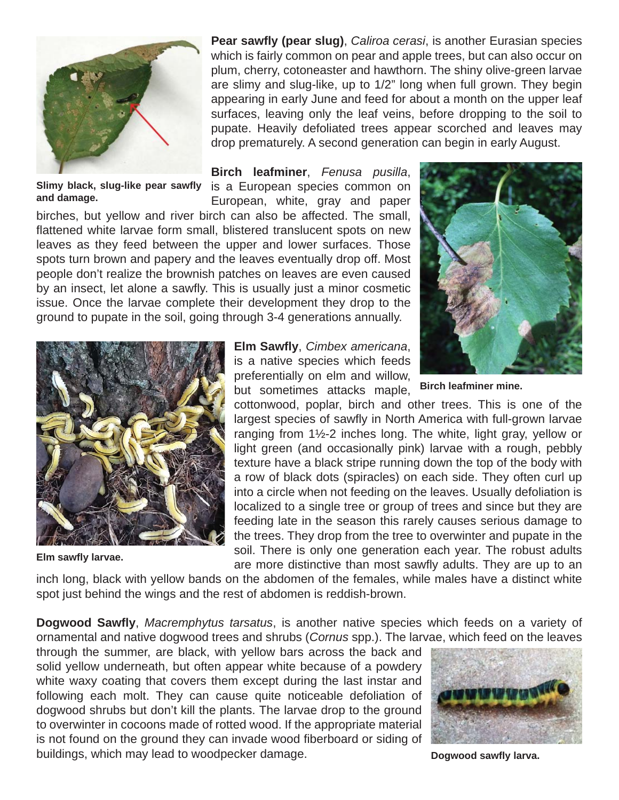

Slimy black, slug-like pear sawfly is a European species common on **and damage.**

**Pear sawfly (pear slug)**, *Caliroa cerasi*, is another Eurasian species which is fairly common on pear and apple trees, but can also occur on plum, cherry, cotoneaster and hawthorn. The shiny olive-green larvae are slimy and slug-like, up to 1/2" long when full grown. They begin appearing in early June and feed for about a month on the upper leaf surfaces, leaving only the leaf veins, before dropping to the soil to pupate. Heavily defoliated trees appear scorched and leaves may drop prematurely. A second generation can begin in early August.

**Birch leafminer**, *Fenusa pusilla*,

European, white, gray and paper

birches, but yellow and river birch can also be affected. The small, flattened white larvae form small, blistered translucent spots on new leaves as they feed between the upper and lower surfaces. Those spots turn brown and papery and the leaves eventually drop off. Most people don't realize the brownish patches on leaves are even caused by an insect, let alone a sawfly. This is usually just a minor cosmetic issue. Once the larvae complete their development they drop to the ground to pupate in the soil, going through 3-4 generations annually.





**Elm sawfly larvae.** 

**Elm Sawfl y**, *Cimbex americana*, is a native species which feeds preferentially on elm and willow, but sometimes attacks maple,

**Birch leafminer mine.**

cottonwood, poplar, birch and other trees. This is one of the largest species of sawfly in North America with full-grown larvae ranging from 1½-2 inches long. The white, light gray, yellow or light green (and occasionally pink) larvae with a rough, pebbly texture have a black stripe running down the top of the body with a row of black dots (spiracles) on each side. They often curl up into a circle when not feeding on the leaves. Usually defoliation is localized to a single tree or group of trees and since but they are feeding late in the season this rarely causes serious damage to the trees. They drop from the tree to overwinter and pupate in the soil. There is only one generation each year. The robust adults are more distinctive than most sawfly adults. They are up to an

inch long, black with yellow bands on the abdomen of the females, while males have a distinct white spot just behind the wings and the rest of abdomen is reddish-brown.

**Dogwood Sawfl y**, *Macremphytus tarsatus*, is another native species which feeds on a variety of ornamental and native dogwood trees and shrubs (*Cornus* spp.). The larvae, which feed on the leaves

through the summer, are black, with yellow bars across the back and solid yellow underneath, but often appear white because of a powdery white waxy coating that covers them except during the last instar and following each molt. They can cause quite noticeable defoliation of dogwood shrubs but don't kill the plants. The larvae drop to the ground to overwinter in cocoons made of rotted wood. If the appropriate material is not found on the ground they can invade wood fiberboard or siding of buildings, which may lead to woodpecker damage.



**Dogwood sawfl y larva.**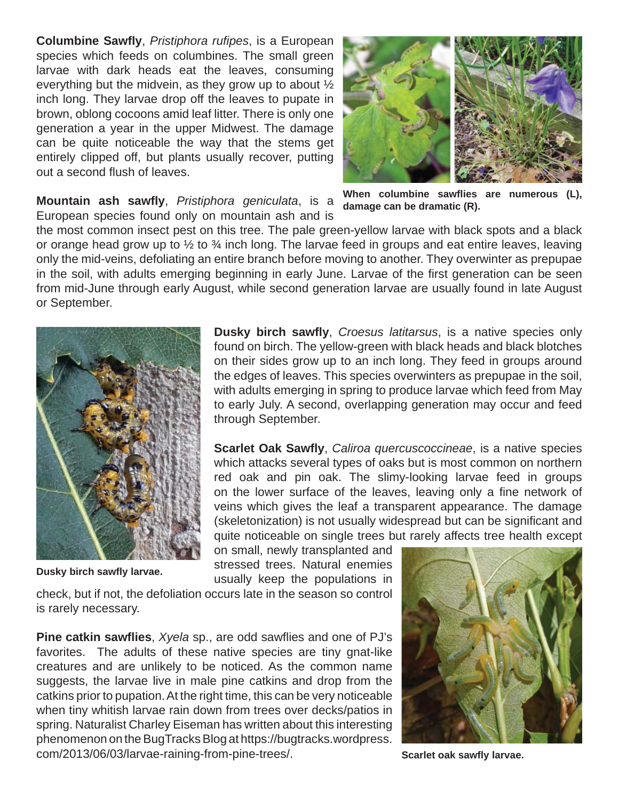**Columbine Sawfl y**, *Pristiphora rufi pes*, is a European species which feeds on columbines. The small green larvae with dark heads eat the leaves, consuming everything but the midvein, as they grow up to about ½ inch long. They larvae drop off the leaves to pupate in brown, oblong cocoons amid leaf litter. There is only one generation a year in the upper Midwest. The damage can be quite noticeable the way that the stems get entirely clipped off, but plants usually recover, putting out a second flush of leaves.



**Mountain ash sawfl y**, *Pristiphora geniculata*, is a European species found only on mountain ash and is

the most common insect pest on this tree. The pale green-yellow larvae with black spots and a black or orange head grow up to  $\frac{1}{2}$  to  $\frac{3}{4}$  inch long. The larvae feed in groups and eat entire leaves, leaving only the mid-veins, defoliating an entire branch before moving to another. They overwinter as prepupae in the soil, with adults emerging beginning in early June. Larvae of the first generation can be seen from mid-June through early August, while second generation larvae are usually found in late August or September.



**Dusky birch sawfl y larvae.**

**Dusky birch sawfl y**, *Croesus latitarsus*, is a native species only found on birch. The yellow-green with black heads and black blotches on their sides grow up to an inch long. They feed in groups around the edges of leaves. This species overwinters as prepupae in the soil, with adults emerging in spring to produce larvae which feed from May to early July. A second, overlapping generation may occur and feed through September.

**Scarlet Oak Sawfly, Caliroa quercuscoccineae, is a native species** which attacks several types of oaks but is most common on northern red oak and pin oak. The slimy-looking larvae feed in groups on the lower surface of the leaves, leaving only a fine network of veins which gives the leaf a transparent appearance. The damage (skeletonization) is not usually widespread but can be significant and quite noticeable on single trees but rarely affects tree health except

on small, newly transplanted and stressed trees. Natural enemies usually keep the populations in

check, but if not, the defoliation occurs late in the season so control is rarely necessary.

**Pine catkin sawflies**, *Xyela* sp., are odd sawflies and one of PJ's favorites. The adults of these native species are tiny gnat-like creatures and are unlikely to be noticed. As the common name suggests, the larvae live in male pine catkins and drop from the catkins prior to pupation. At the right time, this can be very noticeable when tiny whitish larvae rain down from trees over decks/patios in spring. Naturalist Charley Eiseman has written about this interesting phenomenon on the BugTracks Blog at https://bugtracks.wordpress. com/2013/06/03/larvae-raining-from-pine-trees/.



**Scarlet oak sawfly larvae.** 

When columbine sawflies are numerous (L), **damage can be dramatic (R).**